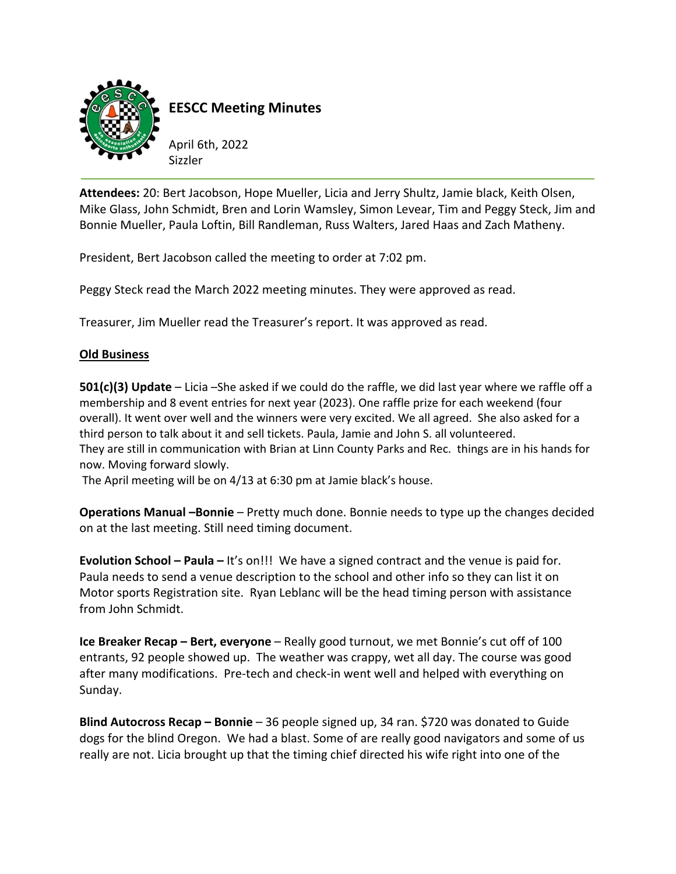

**EESCC Meeting Minutes**

April 6th, 2022 Sizzler

**Attendees:** 20: Bert Jacobson, Hope Mueller, Licia and Jerry Shultz, Jamie black, Keith Olsen, Mike Glass, John Schmidt, Bren and Lorin Wamsley, Simon Levear, Tim and Peggy Steck, Jim and Bonnie Mueller, Paula Loftin, Bill Randleman, Russ Walters, Jared Haas and Zach Matheny.

President, Bert Jacobson called the meeting to order at 7:02 pm.

Peggy Steck read the March 2022 meeting minutes. They were approved as read.

Treasurer, Jim Mueller read the Treasurer's report. It was approved as read.

## **Old Business**

**501(c)(3) Update** – Licia –She asked if we could do the raffle, we did last year where we raffle off a membership and 8 event entries for next year (2023). One raffle prize for each weekend (four overall). It went over well and the winners were very excited. We all agreed. She also asked for a third person to talk about it and sell tickets. Paula, Jamie and John S. all volunteered. They are still in communication with Brian at Linn County Parks and Rec. things are in his hands for now. Moving forward slowly.

The April meeting will be on 4/13 at 6:30 pm at Jamie black's house.

**Operations Manual –Bonnie** – Pretty much done. Bonnie needs to type up the changes decided on at the last meeting. Still need timing document.

**Evolution School – Paula –** It's on!!! We have a signed contract and the venue is paid for. Paula needs to send a venue description to the school and other info so they can list it on Motor sports Registration site. Ryan Leblanc will be the head timing person with assistance from John Schmidt.

**Ice Breaker Recap – Bert, everyone** – Really good turnout, we met Bonnie's cut off of 100 entrants, 92 people showed up. The weather was crappy, wet all day. The course was good after many modifications. Pre‐tech and check‐in went well and helped with everything on Sunday.

**Blind Autocross Recap – Bonnie** – 36 people signed up, 34 ran. \$720 was donated to Guide dogs for the blind Oregon. We had a blast. Some of are really good navigators and some of us really are not. Licia brought up that the timing chief directed his wife right into one of the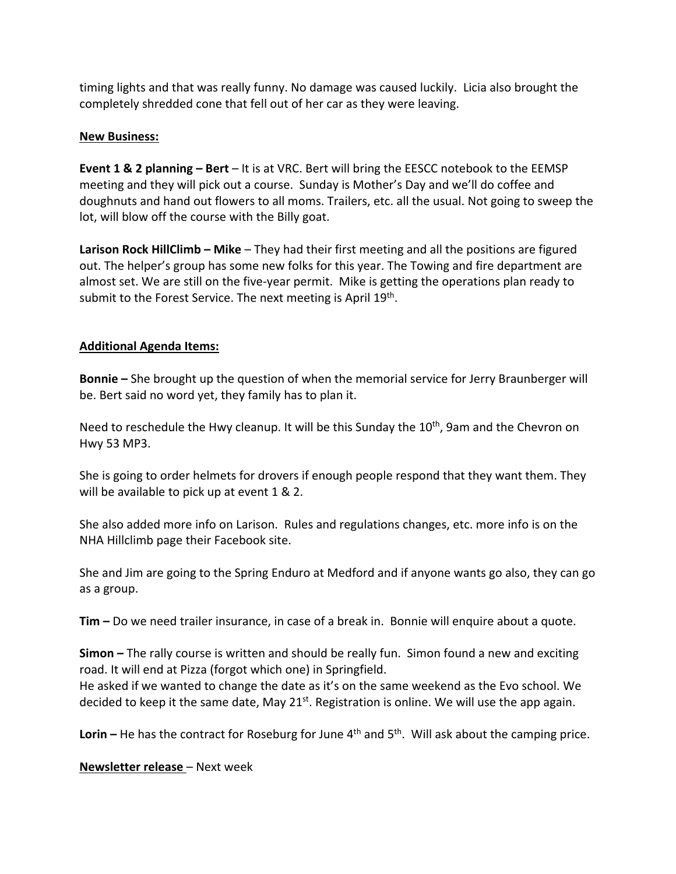timing lights and that was really funny. No damage was caused luckily. Licia also brought the completely shredded cone that fell out of her car as they were leaving.

## **New Business:**

**Event 1 & 2 planning – Bert** – It is at VRC. Bert will bring the EESCC notebook to the EEMSP meeting and they will pick out a course. Sunday is Mother's Day and we'll do coffee and doughnuts and hand out flowers to all moms. Trailers, etc. all the usual. Not going to sweep the lot, will blow off the course with the Billy goat.

**Larison Rock HillClimb – Mike** – They had their first meeting and all the positions are figured out. The helper's group has some new folks for this year. The Towing and fire department are almost set. We are still on the five‐year permit. Mike is getting the operations plan ready to submit to the Forest Service. The next meeting is April 19<sup>th</sup>.

## **Additional Agenda Items:**

**Bonnie –** She brought up the question of when the memorial service for Jerry Braunberger will be. Bert said no word yet, they family has to plan it.

Need to reschedule the Hwy cleanup. It will be this Sunday the  $10<sup>th</sup>$ , 9am and the Chevron on Hwy 53 MP3.

She is going to order helmets for drovers if enough people respond that they want them. They will be available to pick up at event 1 & 2.

She also added more info on Larison. Rules and regulations changes, etc. more info is on the NHA Hillclimb page their Facebook site.

She and Jim are going to the Spring Enduro at Medford and if anyone wants go also, they can go as a group.

**Tim –** Do we need trailer insurance, in case of a break in. Bonnie will enquire about a quote.

**Simon –** The rally course is written and should be really fun. Simon found a new and exciting road. It will end at Pizza (forgot which one) in Springfield.

He asked if we wanted to change the date as it's on the same weekend as the Evo school. We decided to keep it the same date, May  $21^{st}$ . Registration is online. We will use the app again.

**Lorin**  $-$  He has the contract for Roseburg for June  $4<sup>th</sup>$  and  $5<sup>th</sup>$ . Will ask about the camping price.

**Newsletter release** – Next week